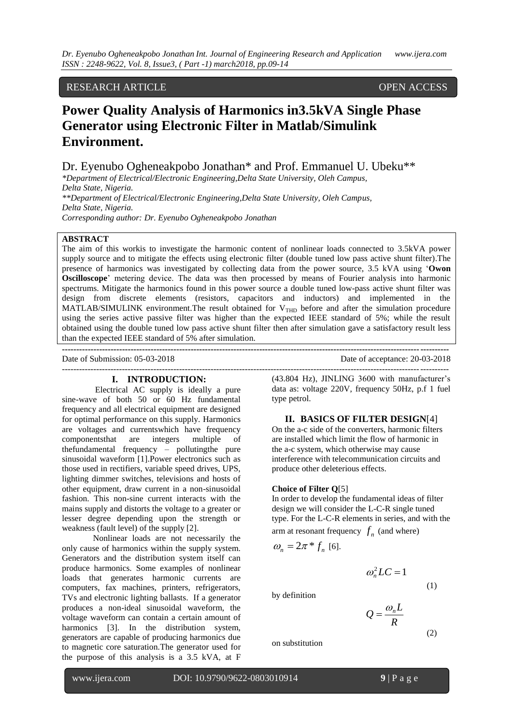# RESEARCH ARTICLE OPEN ACCESS

# **Power Quality Analysis of Harmonics in3.5kVA Single Phase Generator using Electronic Filter in Matlab/Simulink Environment.**

Dr. Eyenubo Ogheneakpobo Jonathan\* and Prof. Emmanuel U. Ubeku\*\*

*\*Department of Electrical/Electronic Engineering,Delta State University, Oleh Campus, Delta State, Nigeria. \*\*Department of Electrical/Electronic Engineering,Delta State University, Oleh Campus, Delta State, Nigeria. Corresponding author: Dr. Eyenubo Ogheneakpobo Jonathan*

### **ABSTRACT**

The aim of this workis to investigate the harmonic content of nonlinear loads connected to 3.5kVA power supply source and to mitigate the effects using electronic filter (double tuned low pass active shunt filter). The presence of harmonics was investigated by collecting data from the power source, 3.5 kVA using "**Owon Oscilloscope**' metering device. The data was then processed by means of Fourier analysis into harmonic spectrums. Mitigate the harmonics found in this power source a double tuned low-pass active shunt filter was design from discrete elements (resistors, capacitors and inductors) and implemented in the MATLAB/SIMULINK environment. The result obtained for  $V<sub>THD</sub>$  before and after the simulation procedure using the series active passive filter was higher than the expected IEEE standard of 5%; while the result obtained using the double tuned low pass active shunt filter then after simulation gave a satisfactory result less than the expected IEEE standard of 5% after simulation.

**---------------------------------------------------------------------------------------------------------------------------------------**

Date of Submission: 05-03-2018 Date of acceptance: 20-03-2018

## **I. INTRODUCTION:**

Electrical AC supply is ideally a pure sine-wave of both 50 or 60 Hz fundamental frequency and all electrical equipment are designed for optimal performance on this supply. Harmonics are voltages and currentswhich have frequency componentsthat are integers multiple of thefundamental frequency – pollutingthe pure sinusoidal waveform [1].Power electronics such as those used in rectifiers, variable speed drives, UPS, lighting dimmer switches, televisions and hosts of other equipment, draw current in a non-sinusoidal fashion. This non-sine current interacts with the mains supply and distorts the voltage to a greater or lesser degree depending upon the strength or weakness (fault level) of the supply [2].

Nonlinear loads are not necessarily the only cause of harmonics within the supply system. Generators and the distribution system itself can produce harmonics. Some examples of nonlinear loads that generates harmonic currents are computers, fax machines, printers, refrigerators, TVs and electronic lighting ballasts. If a generator produces a non-ideal sinusoidal waveform, the voltage waveform can contain a certain amount of harmonics [3]. In the distribution system, generators are capable of producing harmonics due to magnetic core saturation.The generator used for the purpose of this analysis is a 3.5 kVA, at F

--------------------------------------------------------------------------------------------------------------------------------------- (43.804 Hz), JINLING 3600 with manufacturer"s data as: voltage 220V, frequency 50Hz, p.f 1 fuel

# **II. BASICS OF FILTER DESIGN**[4]

On the a-c side of the converters, harmonic filters are installed which limit the flow of harmonic in the a-c system, which otherwise may cause interference with telecommunication circuits and produce other deleterious effects.

#### **Choice of Filter Q**[5]

type petrol.

In order to develop the fundamental ideas of filter design we will consider the L-C-R single tuned type. For the L-C-R elements in series, and with the arm at resonant frequency  $f_n$  (and where)

$$
\omega_n = 2\pi * f_n
$$
 [6].

$$
\omega_n^2 LC = 1
$$

(1)

(2)

by definition

$$
Q = \frac{\omega_n L}{R}
$$

on substitution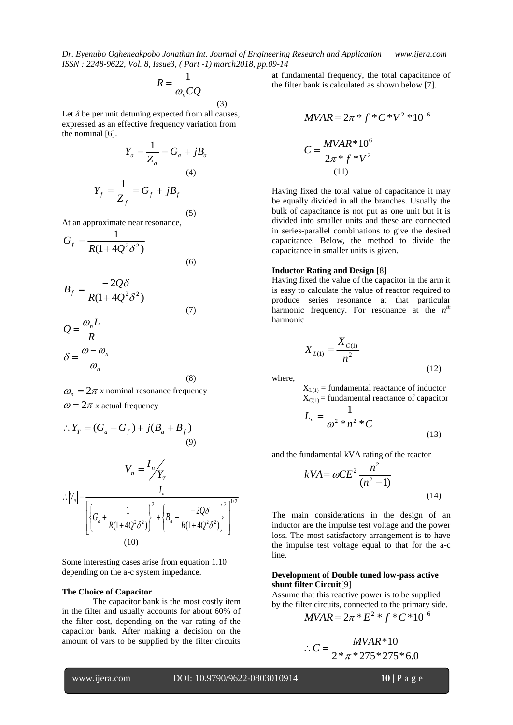*Dr. Eyenubo Ogheneakpobo Jonathan Int. Journal of Engineering Research and Application www.ijera.com ISSN : 2248-9622, Vol. 8, Issue3, ( Part -1) march2018, pp.09-14*

$$
R = \frac{1}{\omega_n C Q}
$$
 (3)

(5)

Let  $\delta$  be per unit detuning expected from all causes, expressed as an effective frequency variation from the nominal [6].

$$
Y_a = \frac{1}{Z_a} = G_a + jB_a
$$
  
(4)  

$$
Y_f = \frac{1}{Z_f} = G_f + jB_f
$$

At an approximate near resonance,

$$
G_f = \frac{1}{R(1 + 4Q^2 \delta^2)}
$$
\n(6)

$$
B_f = \frac{-2Q\delta}{R(1 + 4Q^2\delta^2)}
$$
  

$$
Q = \frac{\omega_n L}{R}
$$
 (7)

$$
\mathcal{E} = \frac{R}{\omega - \omega_n}
$$

$$
\delta = \frac{\omega - \omega_n}{\omega_n}
$$

(8)

$$
\omega_n = 2\pi x
$$
 nominal resonance frequency

 $\omega = 2\pi x$  actual frequency

$$
\therefore Y_T = (G_a + G_f) + j(B_a + B_f)
$$
\n(9)

$$
V_n = \frac{I_n}{Y_T}
$$
  
 
$$
\therefore |V_n| = \frac{I_n}{\left[ \left\{ G_a + \frac{1}{R(1 + 4Q^2 \delta^2)} \right\}^2 + \left\{ B_a - \frac{-2Q\delta}{R(1 + 4Q^2 \delta^2)} \right\}^2 \right]^{1/2}}
$$
  
(10)

Some interesting cases arise from equation 1.10 depending on the a-c system impedance.

#### **The Choice of Capacitor**

The capacitor bank is the most costly item in the filter and usually accounts for about 60% of the filter cost, depending on the var rating of the capacitor bank. After making a decision on the amount of vars to be supplied by the filter circuits

at fundamental frequency, the total capacitance of the filter bank is calculated as shown below [7].

$$
MVAR = 2\pi * f * C * V^{2} * 10^{-6}
$$
  

$$
C = \frac{MVAR * 10^{6}}{2\pi * f * V^{2}}
$$
  
(11)

Having fixed the total value of capacitance it may be equally divided in all the branches. Usually the bulk of capacitance is not put as one unit but it is divided into smaller units and these are connected in series-parallel combinations to give the desired capacitance. Below, the method to divide the capacitance in smaller units is given.

#### **Inductor Rating and Design** [8]

Having fixed the value of the capacitor in the arm it is easy to calculate the value of reactor required to produce series resonance at that particular harmonic frequency. For resonance at the  $n^{th}$ harmonic

$$
X_{L(1)} = \frac{X_{C(1)}}{n^2} \tag{12}
$$

where,

 $X_{L(1)}$  = fundamental reactance of inductor  $X_{C(1)}$  = fundamental reactance of capacitor

$$
L_n = \frac{1}{\omega^2 * n^2 * C}
$$
\n<sup>(13)</sup>

and the fundamental kVA rating of the reactor

$$
kVA = \omega CE^2 \frac{n^2}{(n^2 - 1)}
$$
\n(14)

The main considerations in the design of an inductor are the impulse test voltage and the power loss. The most satisfactory arrangement is to have the impulse test voltage equal to that for the a-c line.

## **Development of Double tuned low-pass active shunt filter Circuit**[9]

Assume that this reactive power is to be supplied by the filter circuits, connected to the primary side.

$$
MVAR = 2\pi * E^2 * f * C * 10^{-6}
$$

$$
\therefore C = \frac{MVAR * 10}{2 * \pi * 275 * 275 * 6.0}
$$

www.ijera.com DOI: 10.9790/9622-0803010914 **10** | P a g e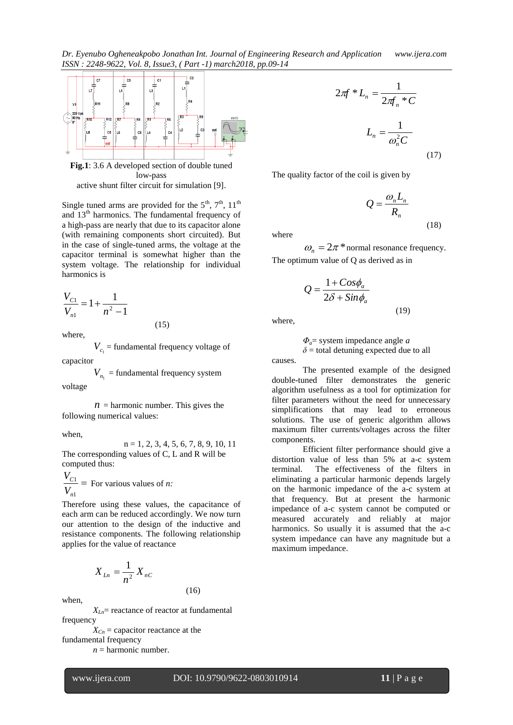*Dr. Eyenubo Ogheneakpobo Jonathan Int. Journal of Engineering Research and Application www.ijera.com ISSN : 2248-9622, Vol. 8, Issue3, ( Part -1) march2018, pp.09-14*



**Fig.1**: 3.6 A developed section of double tuned low-pass active shunt filter circuit for simulation [9].

Single tuned arms are provided for the  $5<sup>th</sup>$ ,  $7<sup>th</sup>$ ,  $11<sup>th</sup>$ and 13th harmonics. The fundamental frequency of a high-pass are nearly that due to its capacitor alone (with remaining components short circuited). But in the case of single-tuned arms, the voltage at the capacitor terminal is somewhat higher than the system voltage. The relationship for individual harmonics is

$$
\frac{V_{C1}}{V_{n1}} = 1 + \frac{1}{n^2 - 1}
$$

where,

 $V_{c_1}$  = fundamental frequency voltage of capacitor

(15)

 $V_{n_1}$  = fundamental frequency system voltage

 $n =$  harmonic number. This gives the following numerical values:

when,

 $n = 1, 2, 3, 4, 5, 6, 7, 8, 9, 10, 11$ The corresponding values of C, L and R will be computed thus:

 $\frac{V_{C1}}{V}$  = For various values of *n*:  $V_{n1}$ 

Therefore using these values, the capacitance of each arm can be reduced accordingly. We now turn our attention to the design of the inductive and resistance components. The following relationship applies for the value of reactance

$$
X_{Ln} = \frac{1}{n^2} X_{nc}
$$

when,

 $X_{\text{Ln}}$  reactance of reactor at fundamental frequency

(16)

 $X_{Cn}$  = capacitor reactance at the fundamental frequency

 $n =$  harmonic number.

$$
2\pi f * L_n = \frac{1}{2\pi f_n * C}
$$

$$
L_n = \frac{1}{\omega_n^2 C}
$$
 (17)

The quality factor of the coil is given by

$$
Q = \frac{\omega_n L_n}{R_n}
$$
 (18)

where

 $\omega_n = 2\pi^*$  normal resonance frequency. The optimum value of Q as derived as in

$$
Q = \frac{1 + Cos\phi_a}{2\delta + Sin\phi_a}
$$
\n(19)

where,

$$
\Phi_a = \text{system impedance angle } a
$$

 $\delta$  = total detuning expected due to all

causes. The presented example of the designed double-tuned filter demonstrates the generic algorithm usefulness as a tool for optimization for filter parameters without the need for unnecessary simplifications that may lead to erroneous solutions. The use of generic algorithm allows maximum filter currents/voltages across the filter

components. Efficient filter performance should give a distortion value of less than 5% at a-c system terminal. The effectiveness of the filters in eliminating a particular harmonic depends largely on the harmonic impedance of the a-c system at that frequency. But at present the harmonic impedance of a-c system cannot be computed or measured accurately and reliably at major harmonics. So usually it is assumed that the a-c system impedance can have any magnitude but a maximum impedance.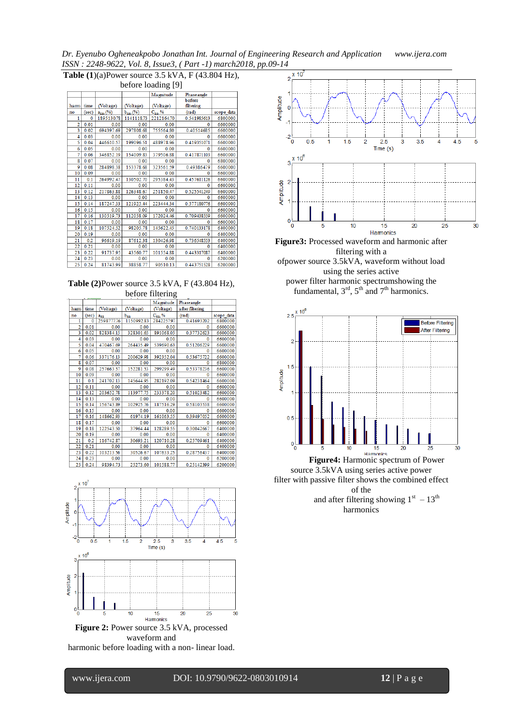*Dr. Eyenubo Ogheneakpobo Jonathan Int. Journal of Engineering Research and Application www.ijera.com ISSN : 2248-9622, Vol. 8, Issue3, ( Part -1) march2018, pp.09-14*

|                                                                |       |                |                   |              | $5.511$ . $2210$ , $3921$ , $100$ , $100$ , $000$ , $11$ and $11$ mand $0112$ |            |  |  |  |  |  |
|----------------------------------------------------------------|-------|----------------|-------------------|--------------|-------------------------------------------------------------------------------|------------|--|--|--|--|--|
| Table $(1)(a)$ Power source 3.5 kVA, F $(43.804 \text{ Hz})$ , |       |                |                   |              |                                                                               |            |  |  |  |  |  |
| before loading [9]                                             |       |                |                   |              |                                                                               |            |  |  |  |  |  |
|                                                                |       |                |                   | Magnitude    | Phaseangle                                                                    |            |  |  |  |  |  |
| ham                                                            | time  | (Voltage)      | (Voltage)         | (Voltage)    | before<br>filtering                                                           |            |  |  |  |  |  |
| no                                                             | (sec) | $a_{na}$ , (%) | $b_{na}$ , $(\%)$ | $C_{na}$ , % | (rad)                                                                         | scope_data |  |  |  |  |  |
| 1                                                              | 0     | 1895130.78     | 1141118.73        | 2212164.70   | 0.541985613                                                                   | 6800000    |  |  |  |  |  |
| 2                                                              | 0.01  | 0.00           | 0.00              | 0.00         | Ω                                                                             | 6600000    |  |  |  |  |  |
| 3                                                              | 0.02  | 694397.69      | 297808.68         | 755564.80    | 0.40514685                                                                    | 6600000    |  |  |  |  |  |
| 4                                                              | 0.03  | 0.00           | 0.00              | 0.00         | Ω                                                                             | 6600000    |  |  |  |  |  |
| 5                                                              | 0.04  | 446610.57      | 199096.51         | 488978.96    | 0.419351071                                                                   | 6600000    |  |  |  |  |  |
| 6                                                              | 0.05  | 0.00           | 0.00              | 0.00         | 0                                                                             | 6600000    |  |  |  |  |  |
| 7                                                              | 0.06  | 346852.19      | 154009.83         | 379506.88    | 0.417871103                                                                   | 6600000    |  |  |  |  |  |
| 8                                                              | 0.07  | 0.00           | 0.00              | 0.00         | 0                                                                             | 6800000    |  |  |  |  |  |
| 9                                                              | 0.08  | 284898.38      | 153378.68         | 323561.59    | 0.49386479                                                                    | 6600000    |  |  |  |  |  |
| 10                                                             | 0.09  | 0.00           | 0.00              | 0.00         | $\bf{0}$                                                                      | 6600000    |  |  |  |  |  |
| 11                                                             | 0.1   | 264992.47      | 130502.70         | 295384.43    | 0.457611126                                                                   | 6600000    |  |  |  |  |  |
| 12                                                             | 0.11  | 0.00           | 0.00              | 0.00         | Λ                                                                             | 6600000    |  |  |  |  |  |
| 13                                                             | 0.12  | 217863.88      | 126348.67         | 251850.47    | 0.525541249                                                                   | 6600000    |  |  |  |  |  |
| 14                                                             | 0.13  | 0.00           | 0.00              | 0.00         | ٨                                                                             | 6600000    |  |  |  |  |  |
| 15                                                             | 0.14  | 187247.33      | 121925.44         | 223444.34    | 0.577180776                                                                   | 6600000    |  |  |  |  |  |
| 16                                                             | 0.15  | 0.00           | 0.00              | 0.00         | o                                                                             | 6600000    |  |  |  |  |  |
| 17                                                             | 0.16  | 130519.73      | 112058.09         | 172024.46    | 0.709438559                                                                   | 6600000    |  |  |  |  |  |
| 18                                                             | 0.17  | 0.00           | 0.00              | 0.00         |                                                                               | 6600000    |  |  |  |  |  |
| 19                                                             | 0.18  | 107524.52      | 98205.78          | 145622.45    | 0.740133178                                                                   | 6400000    |  |  |  |  |  |
| 20                                                             | 0.19  | 0.00           | 0.00              | 0.00         | 0                                                                             | 6400000    |  |  |  |  |  |
| 21                                                             | 0.2   | 96619.19       | 87612.38          | 130426.98    | 0.736548553                                                                   | 6400000    |  |  |  |  |  |
| 22                                                             | 0.21  | 0.00           | 0.00              | 0.00         | $\Omega$                                                                      | 6400000    |  |  |  |  |  |
| 23                                                             | 0.22  | 91737.95       | 43560.77          | 101554.88    | 0.443317087                                                                   | 6400000    |  |  |  |  |  |
| 24                                                             | 0.23  | 0.00           | 0.00              | 0.00         | 0                                                                             | 6200000    |  |  |  |  |  |
| 251                                                            | 0.24  | 81743.00       | 3885877           | 90510.13     | 0.443751528                                                                   | 6200000    |  |  |  |  |  |

**Table (2)**Power source 3.5 kVA, F (43.804 Hz), before filtering

| $\sigma$ and $\sigma$ $\sigma$ $\sigma$ |       |                 |            |              |                  |            |  |  |  |
|-----------------------------------------|-------|-----------------|------------|--------------|------------------|------------|--|--|--|
|                                         |       |                 |            | Magnitude    | Phaseangle       |            |  |  |  |
| ham                                     | time  | (Voltage)       | (Voltage)  | (Voltage)    | a fter filtering |            |  |  |  |
| no                                      | (sec) | a <sub>na</sub> | $b_{n}$    | $C_{na}$ , % | (rad)            | scope_data |  |  |  |
| 1                                       | 0     | 2598777.76      | 1150992.83 | 284225797    | 0.41693202       | 6800000    |  |  |  |
| 2                                       | 0.01  | 0.00            | 0.00       | 0.00         | 0                | 6600000    |  |  |  |
| 3                                       | 0.02  | 828384.15       | 328301.65  | 891068.05    | 0.37732623       | 6600000    |  |  |  |
| 4                                       | 0.03  | 0.00            | 0.00       | 0.00         | 0                | 6600000    |  |  |  |
| 5                                       | 0.04  | 470467.69       | 264435.49  | 539690.63    | 0.51206229       | 6600000    |  |  |  |
| 6                                       | 0.05  | 0.00            | 0.00       | 0.00         | 0                | 6600000    |  |  |  |
| 7                                       | 0.06  | 337176.13       | 200629.98  | 392352.04    | 0.53675722       | 6600000    |  |  |  |
| s                                       | 0.07  | 0.00            | 0.00       | 0.00         | $\Omega$         | 6800000    |  |  |  |
| 9                                       | 0.08  | 257663.57       | 152281.53  | 299299.49    | 0.53378236       | 6600000    |  |  |  |
| 10                                      | 0.09  | 0.00            | 0.00       | 0.00         | 0                | 6600000    |  |  |  |
| 11                                      | 0.1   | 241702.13       | 145644.95  | 282192.09    | 0.54231464       | 6600000    |  |  |  |
| 12                                      | 0.11  | 0.00            | 0.00       | 0.00         | 0                | 6600000    |  |  |  |
| 13                                      | 0.12  | 203652.78       | 113977.75  | 233378.20    | 0.51023482       | 6600000    |  |  |  |
| 14                                      | 0.13  | 0.00            | 0.00       | 0.00         | 0                | 6600000    |  |  |  |
| 15                                      | 0.14  | 156743.89       | 102925.76  | 187516.29    | 0.58103538       | 6600000    |  |  |  |
| 16                                      | 0.15  | 0.00            | 0.00       | 0.00         | 0                | 6600000    |  |  |  |
| 17                                      | 0.16  | 148662.93       | 61974.19   | 161063.55    | 0.39497052       | 6600000    |  |  |  |
| 18                                      | 0.17  | 0.00            | 0.00       | 0.00         | $\Omega$         | 6600000    |  |  |  |
| 19                                      | 0.18  | 122543.50       | 37964.44   | 128289.55    | 0.30042667       | 6400000    |  |  |  |
| 20                                      | 0.19  | 0.00            | 0.00       | 0.00         | o                | 6400000    |  |  |  |
| 21                                      | 0.2   | 116742.87       | 30693.21   | 120710.28    | 0.25709461       | 6400000    |  |  |  |
| 22                                      | 0.21  | 0.00            | 0.00       | 0.00         | 0                | 6400000    |  |  |  |
| 23                                      | 0.22  | 103213.56       | 30526.67   | 107633.25    | 0.28756437       | 6400000    |  |  |  |
| 24                                      | 0.23  | 0.00            | 0.00       | 0.00         | 0                | 6200000    |  |  |  |
| 25                                      | 0.24  | 98394.73        | 25273.60   | 101588.77    | 0.25142399       | 6200000    |  |  |  |





**Figure3:** Processed waveform and harmonic after filtering with a

ofpower source 3.5kVA, waveform without load using the series active power filter harmonic spectrumshowing the

fundamental,  $3<sup>rd</sup>$ ,  $5<sup>th</sup>$  and  $7<sup>th</sup>$  harmonics.



source 3.5kVA using series active power filter with passive filter shows the combined effect of the and after filtering showing  $1<sup>st</sup> - 13<sup>th</sup>$ harmonics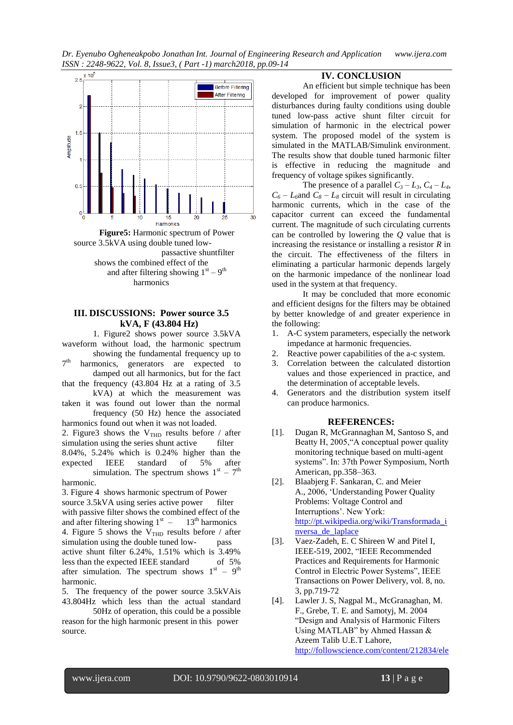*Dr. Eyenubo Ogheneakpobo Jonathan Int. Journal of Engineering Research and Application www.ijera.com ISSN : 2248-9622, Vol. 8, Issue3, ( Part -1) march2018, pp.09-14*



## **III. DISCUSSIONS: Power source 3.5 kVA, F (43.804 Hz)**

1. Figure2 shows power source 3.5kVA waveform without load, the harmonic spectrum showing the fundamental frequency up to

 $7<sup>th</sup>$ harmonics, generators are expected to damped out all harmonics, but for the fact

that the frequency (43.804 Hz at a rating of 3.5 kVA) at which the measurement was

taken it was found out lower than the normal frequency (50 Hz) hence the associated

harmonics found out when it was not loaded. 2. Figure3 shows the  $V_{THD}$  results before / after simulation using the series shunt active filter simulation using the series shunt active 8.04%, 5.24% which is 0.24% higher than the expected IEEE standard of 5% after simulation. The spectrum shows  $1<sup>st</sup> - 7<sup>th</sup>$ 

harmonic.

3. Figure 4 shows harmonic spectrum of Power source 3.5kVA using series active power filter with passive filter shows the combined effect of the and after filtering showing  $1<sup>st</sup> - 13<sup>th</sup>$  harmonics 4. Figure 5 shows the  $V<sub>THD</sub>$  results before / after simulation using the double tuned low- pass active shunt filter 6.24%, 1.51% which is 3.49% less than the expected IEEE standard of 5% after simulation. The spectrum shows  $1<sup>st</sup> - 9<sup>th</sup>$ harmonic.

5. The frequency of the power source 3.5kVAis 43.804Hz which less than the actual standard

50Hz of operation, this could be a possible reason for the high harmonic present in this power source.

# **IV. CONCLUSION**

An efficient but simple technique has been developed for improvement of power quality disturbances during faulty conditions using double tuned low-pass active shunt filter circuit for simulation of harmonic in the electrical power system. The proposed model of the system is simulated in the MATLAB/Simulink environment. The results show that double tuned harmonic filter is effective in reducing the magnitude and frequency of voltage spikes significantly.

The presence of a parallel  $C_3 - L_3$ ,  $C_4 - L_4$ ,  $C_6 - L_6$  and  $C_8 - L_8$  circuit will result in circulating harmonic currents, which in the case of the capacitor current can exceed the fundamental current. The magnitude of such circulating currents can be controlled by lowering the *Q* value that is increasing the resistance or installing a resistor *R* in the circuit. The effectiveness of the filters in eliminating a particular harmonic depends largely on the harmonic impedance of the nonlinear load used in the system at that frequency.

It may be concluded that more economic and efficient designs for the filters may be obtained by better knowledge of and greater experience in the following:

- 1. A-C system parameters, especially the network impedance at harmonic frequencies.
- 2. Reactive power capabilities of the a-c system.
- 3. Correlation between the calculated distortion values and those experienced in practice, and the determination of acceptable levels.
- 4. Generators and the distribution system itself can produce harmonics.

## **REFERENCES:**

- [1]. Dugan R, McGrannaghan M, Santoso S, and Beatty H, 2005,"A conceptual power quality monitoring technique based on multi-agent systems". In: 37th Power Symposium, North American, pp.358–363.
- [2]. Blaabjerg F. Sankaran, C. and Meier A., 2006, "Understanding Power Quality Problems: Voltage Control and Interruptions". New York: [http://pt.wikipedia.org/wiki/Transformada\\_i](http://pt.wikipedia.org/wiki/Transformada_inversa_de_laplace) [nversa\\_de\\_laplace](http://pt.wikipedia.org/wiki/Transformada_inversa_de_laplace)
- [3]. Vaez-Zadeh, E. C Shireen W and Pitel I, IEEE-519, 2002, "IEEE Recommended Practices and Requirements for Harmonic Control in Electric Power Systems", IEEE Transactions on Power Delivery, vol. 8, no. 3, pp.719-72
- [4]. Lawler J. S, Nagpal M., McGranaghan, M. F., Grebe, T. E. and Samotyj, M. 2004 "Design and Analysis of Harmonic Filters Using MATLAB" by Ahmed Hassan & Azeem Talib U.E.T Lahore, [http://followscience.com/content/212834/ele](http://followscience.com/content/212834/electrical-power-systems-quality-second-edition)